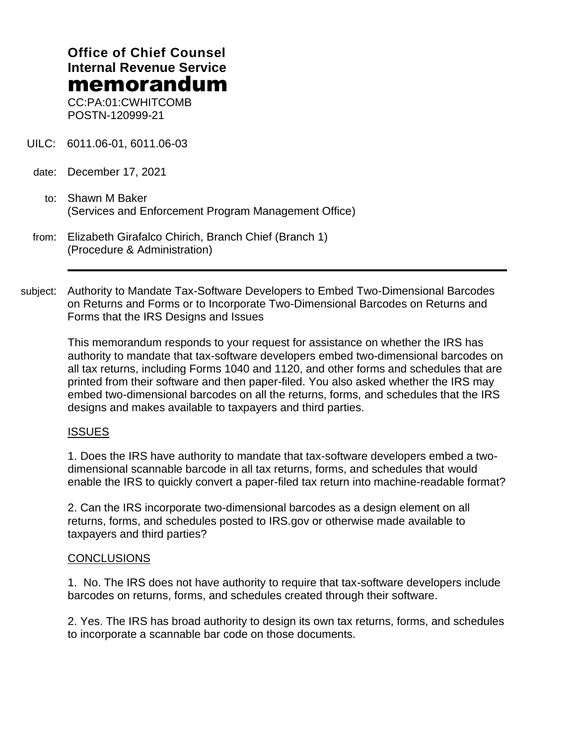# **Office of Chief Counsel Internal Revenue Service** memorandum

CC:PA:01:CWHITCOMB POSTN-120999-21

- UILC: 6011.06-01, 6011.06-03
- date: December 17, 2021
	- to: Shawn M Baker (Services and Enforcement Program Management Office)

| from: Elizabeth Girafalco Chirich, Branch Chief (Branch 1) |
|------------------------------------------------------------|
| (Procedure & Administration)                               |

subject: Authority to Mandate Tax-Software Developers to Embed Two-Dimensional Barcodes on Returns and Forms or to Incorporate Two-Dimensional Barcodes on Returns and Forms that the IRS Designs and Issues

This memorandum responds to your request for assistance on whether the IRS has authority to mandate that tax-software developers embed two-dimensional barcodes on all tax returns, including Forms 1040 and 1120, and other forms and schedules that are printed from their software and then paper-filed. You also asked whether the IRS may embed two-dimensional barcodes on all the returns, forms, and schedules that the IRS designs and makes available to taxpayers and third parties.

#### ISSUES

1. Does the IRS have authority to mandate that tax-software developers embed a twodimensional scannable barcode in all tax returns, forms, and schedules that would enable the IRS to quickly convert a paper-filed tax return into machine-readable format?

2. Can the IRS incorporate two-dimensional barcodes as a design element on all returns, forms, and schedules posted to IRS.gov or otherwise made available to taxpayers and third parties?

#### CONCLUSIONS

1. No. The IRS does not have authority to require that tax-software developers include barcodes on returns, forms, and schedules created through their software.

2. Yes. The IRS has broad authority to design its own tax returns, forms, and schedules to incorporate a scannable bar code on those documents.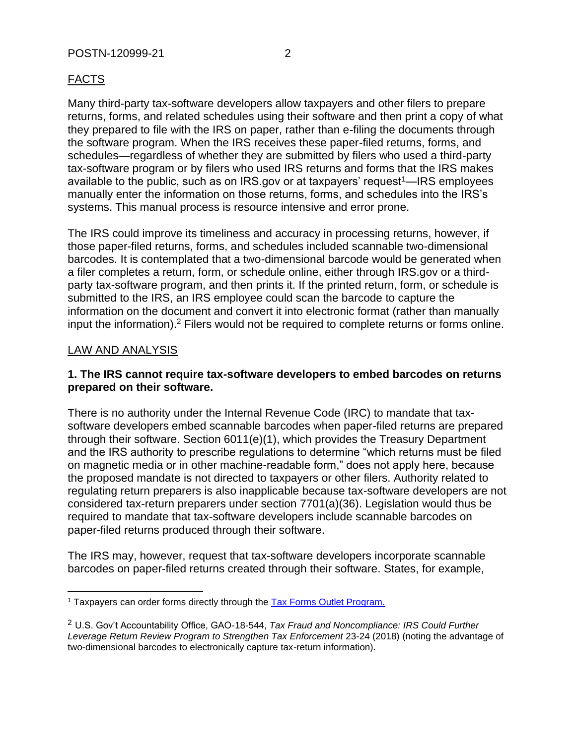Many third-party tax-software developers allow taxpayers and other filers to prepare returns, forms, and related schedules using their software and then print a copy of what they prepared to file with the IRS on paper, rather than e-filing the documents through the software program. When the IRS receives these paper-filed returns, forms, and schedules—regardless of whether they are submitted by filers who used a third-party tax-software program or by filers who used IRS returns and forms that the IRS makes available to the public, such as on IRS.gov or at taxpayers' request<sup>1</sup>—IRS employees manually enter the information on those returns, forms, and schedules into the IRS's systems. This manual process is resource intensive and error prone.

The IRS could improve its timeliness and accuracy in processing returns, however, if those paper-filed returns, forms, and schedules included scannable two-dimensional barcodes. It is contemplated that a two-dimensional barcode would be generated when a filer completes a return, form, or schedule online, either through IRS.gov or a thirdparty tax-software program, and then prints it. If the printed return, form, or schedule is submitted to the IRS, an IRS employee could scan the barcode to capture the information on the document and convert it into electronic format (rather than manually input the information).<sup>2</sup> Filers would not be required to complete returns or forms online.

## LAW AND ANALYSIS

### **1. The IRS cannot require tax-software developers to embed barcodes on returns prepared on their software.**

There is no authority under the Internal Revenue Code (IRC) to mandate that taxsoftware developers embed scannable barcodes when paper-filed returns are prepared through their software. Section 6011(e)(1), which provides the Treasury Department and the IRS authority to prescribe regulations to determine "which returns must be filed on magnetic media or in other machine-readable form," does not apply here, because the proposed mandate is not directed to taxpayers or other filers. Authority related to regulating return preparers is also inapplicable because tax-software developers are not considered tax-return preparers under section 7701(a)(36). Legislation would thus be required to mandate that tax-software developers include scannable barcodes on paper-filed returns produced through their software.

The IRS may, however, request that tax-software developers incorporate scannable barcodes on paper-filed returns created through their software. States, for example,

<sup>&</sup>lt;sup>1</sup> Taxpayers can order forms directly through the Tax Forms Outlet Program.

<sup>2</sup> U.S. Gov't Accountability Office, GAO-18-544, *Tax Fraud and Noncompliance: IRS Could Further Leverage Return Review Program to Strengthen Tax Enforcement* 23-24 (2018) (noting the advantage of two-dimensional barcodes to electronically capture tax-return information).